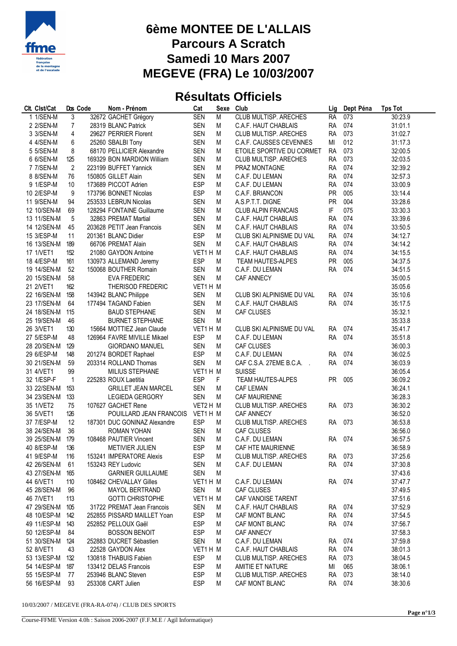

## **6ème MONTEE DE L'ALLAIS Parcours A Scratch Samedi 10 Mars 2007 MEGEVE (FRA) Le 10/03/2007**

## **Résultats Officiels**

| 32672 GACHET Grégory<br><b>SEN</b><br><b>CLUB MULTISP. ARECHES</b><br>1 1/SEN-M<br>3<br>M<br><b>RA</b><br>073<br>30:23.9<br>28319 BLANC Patrick<br><b>SEN</b><br>074<br>2 2/SEN-M<br>M<br>C.A.F. HAUT CHABLAIS<br><b>RA</b><br>31:01.1<br>$\overline{7}$<br>073<br>4<br>29627 PERRIER Florent<br><b>SEN</b><br>M<br>CLUB MULTISP. ARECHES<br><b>RA</b><br>31:02.7<br>3 3/SEN-M<br><b>SEN</b><br>012<br>4 4/SEN-M<br>6<br>25260 SBALBI Tony<br>M<br>C.A.F. CAUSSES CEVENNES<br>MI<br>31:17.3<br>8<br><b>SEN</b><br>M<br>073<br>68170 PELLICIER Alexandre<br>ETOILE SPORTIVE DU CORMET<br><b>RA</b><br>32:00.5<br>5 5/SEN-M<br><b>SEN</b><br><b>RA</b><br>073<br>6 6/SEN-M<br>125<br>169329 BON MARDION William<br>M<br>CLUB MULTISP. ARECHES<br>32:03.5<br>$\overline{2}$<br><b>SEN</b><br>074<br>7 7/SEN-M<br>223199 BUFFET Yannick<br>M<br>PRAZ MONTAGNE<br><b>RA</b><br>32:39.2<br><b>RA</b><br>074<br>8 8/SEN-M<br>150805 GILLET Alain<br><b>SEN</b><br>M<br>32:57.3<br>76<br>C.A.F. DU LEMAN<br><b>ESP</b><br>9 1/ESP-M<br>10 <sup>°</sup><br>173689 PICCOT Adrien<br><b>RA</b><br>074<br>33:00.9<br>M<br>C.A.F. DU LEMAN<br>10 2/ESP-M<br>9<br>173796 BONNET Nicolas<br><b>ESP</b><br>M<br><b>PR</b><br>005<br>33:14.4<br>C.A.F. BRIANCON<br><b>SEN</b><br>004<br>11 9/SEN-M<br>94<br>253533 LEBRUN Nicolas<br>M<br>A.S.P.T.T. DIGNE<br><b>PR</b><br>33:28.6<br><b>SEN</b><br>M<br>IF<br>075<br>33:30.3<br>12 10/SEN-M<br>69<br>128294 FONTAINE Guillaume<br><b>CLUB ALPIN FRANCAIS</b><br>13 11/SEN-M<br><b>SEN</b><br>074<br>5<br>32863 PREMAT Martial<br>M<br>C.A.F. HAUT CHABLAIS<br><b>RA</b><br>33:39.6<br>203628 PETIT Jean Francois<br><b>SEN</b><br><b>RA</b><br>074<br>14 12/SEN-M<br>M<br>C.A.F. HAUT CHABLAIS<br>33:50.5<br>45<br>201361 BLANC Didier<br><b>ESP</b><br>074<br>15 3/ESP-M<br>M<br>CLUB SKI ALPINISME DU VAL<br><b>RA</b><br>34:12.7<br>11<br><b>SEN</b><br>16 13/SEN-M<br>189<br>66706 PREMAT Alain<br>M<br>C.A.F. HAUT CHABLAIS<br><b>RA</b><br>074<br>34:14.2<br>VET1 H M<br>17 1/VET1<br>152<br>21080 GAYDON Antoine<br><b>RA</b><br>074<br>34:15.5<br>C.A.F. HAUT CHABLAIS<br><b>ESP</b><br>005<br>18 4/ESP-M<br>130973 ALLEMAND Jeremy<br>M<br><b>PR</b><br>34:37.5<br>161<br>TEAM HAUTES-ALPES<br>074<br>19 14/SEN-M<br>52<br>150068 BOUTHER Romain<br><b>SEN</b><br>M<br><b>RA</b><br>34:51.5<br>C.A.F. DU LEMAN<br><b>SEN</b><br>M<br>20 15/SEN-M<br>58<br><b>EVA FREDERIC</b><br><b>CAF ANNECY</b><br>35:00.5<br>21 2/VET1<br>VET1H M<br>35:05.6<br>162<br>THERISOD FREDERIC<br>22 16/SEN-M 158<br>143942 BLANC Philippe<br><b>SEN</b><br>CLUB SKI ALPINISME DU VAL<br>074<br>35:10.6<br>М<br>RA<br><b>SEN</b><br><b>RA</b><br>074<br>23 17/SEN-M<br>64<br>177494 TAGAND Fabien<br>M<br>35:17.5<br>C.A.F. HAUT CHABLAIS<br>24 18/SEN-M<br><b>SEN</b><br>M<br>35:32.1<br><b>BAUD STEPHANE</b><br>CAF CLUSES<br>115<br>25 19/SEN-M<br><b>SEN</b><br>M<br>35:33.8<br>46<br><b>BURNET STEPHANE</b><br>VET1 H M<br>26 3/VET1<br>130<br>15664 MOTTIEZ Jean Claude<br>CLUB SKI ALPINISME DU VAL<br><b>RA</b><br>074<br>35:41.7<br><b>ESP</b><br><b>RA</b><br>074<br>27 5/ESP-M<br>48<br>126964 FAVRE MIVILLE Mikael<br>M<br>C.A.F. DU LEMAN<br>35:51.8<br><b>SEN</b><br>28 20/SEN-M<br>129<br><b>GIORDANO MANUEL</b><br>M<br><b>CAF CLUSES</b><br>36:00.3<br><b>ESP</b><br>29 6/ESP-M<br>201274 BORDET Raphael<br>M<br>074<br>36:02.5<br>148<br>C.A.F. DU LEMAN<br>RA<br><b>SEN</b><br><b>RA</b><br>074<br>30 21/SEN-M<br>59<br>203314 ROLLAND Thomas<br>M<br>CAF C.S.A. 27EME B.C.A.<br>36:03.9<br>99<br>31 4/VET1<br>MILIUS STEPHANE<br>VET1H M<br><b>SUISSE</b><br>36:05.4<br>$\mathbf{1}$<br><b>ESP</b><br>F<br>32 1/ESP-F<br>225283 ROUX Laetitia<br>TEAM HAUTES-ALPES<br><b>PR</b><br>005<br>36:09.2<br>33 22/SEN-M<br><b>GRILLET JEAN MARCEL</b><br><b>SEN</b><br>M<br><b>CAF LEMAN</b><br>36:24.1<br>153<br><b>SEN</b><br>34 23/SEN-M<br><b>LEGIEDA GERGORY</b><br>M<br><b>CAF MAURIENNE</b><br>36:28.3<br>133<br>35 1/VET2<br>75<br>107627 GACHET Rene<br>VET2 H M<br>CLUB MULTISP. ARECHES<br>RA<br>073<br>36:30.2<br>36 5/VET1<br>126<br>POUILLARD JEAN FRANCOIS<br>VET1 H M<br>36:52.0<br><b>CAF ANNECY</b><br><b>ESP</b><br>37 7/ESP-M<br>12<br>187301 DUC GONINAZ Alexandre<br>M<br>073<br>36:53.8<br>CLUB MULTISP. ARECHES<br>RA<br>36<br><b>SEN</b><br>38 24/SEN-M<br><b>ROMAN YOHAN</b><br>M<br><b>CAF CLUSES</b><br>36:56.0<br><b>SEN</b><br>M<br>39 25/SEN-M<br>179<br>108468 PAUTIER Vincent<br>C.A.F. DU LEMAN<br><b>RA</b><br>074<br>36:57.5<br>ESP<br>36:58.9<br>40 8/ESP-M<br>136<br>M<br>CAF HTE MAURIENNE<br><b>METIVIER JULIEN</b><br><b>ESP</b><br>CLUB MULTISP. ARECHES<br>RA 073<br>41 9/ESP-M<br>153241 IMPERATORE Alexis<br>37:25.6<br>116<br>M<br>42 26/SEN-M<br>SEN<br>37:30.8<br>61<br>153243 REY Ludovic<br>C.A.F. DU LEMAN<br>RA 074<br>M<br><b>SEN</b><br>43 27/SEN-M 165<br><b>GARNIER GUILLAUME</b><br>M<br>37:43.6<br>44 6/VET1<br>VET1 H M<br>110<br>108462 CHEVALLAY Gilles<br>C.A.F. DU LEMAN<br>RA 074<br>37:47.7<br>45 28/SEN-M 96<br><b>SEN</b><br>CAF CLUSES<br>37:49.5<br><b>MAYOL BERTRAND</b><br>M<br>46 7/VET1<br>VET1 H M<br>113<br><b>GOTTI CHRISTOPHE</b><br>CAF VANOISE TARENT<br>37:51.6<br>47 29/SEN-M 105<br>31722 PREMAT Jean Francois<br><b>SEN</b><br>37:52.9<br>C.A.F. HAUT CHABLAIS<br>RA 074<br>M<br><b>ESP</b><br>48 10/ESP-M 142<br>252855 PISSARD MAILLET Yoan<br>CAF MONT BLANC<br>RA 074<br>37:54.5<br>M<br>49 11/ESP-M 143<br>252852 PELLOUX Gaël<br><b>ESP</b><br>RA 074<br>37:56.7<br>M<br>CAF MONT BLANC<br><b>ESP</b><br>50 12/ESP-M<br><b>BOSSON BENOIT</b><br>37:58.3<br>84<br>CAF ANNECY<br>M<br>51 30/SEN-M 124<br>252883 DUCRET Sébastien<br><b>SEN</b><br>37:59.8<br>M<br>C.A.F. DU LEMAN<br>RA 074<br>52 8/VET1<br>VET1 H M<br>43<br>22528 GAYDON Alex<br>C.A.F. HAUT CHABLAIS<br>RA 074<br>38:01.3<br>53 13/ESP-M 132<br><b>ESP</b><br>130818 THABUIS Fabien<br>CLUB MULTISP. ARECHES<br>RA 073<br>38:04.5<br>M<br><b>ESP</b><br>54 14/ESP-M<br>133412 DELAS Francois<br>AMITIE ET NATURE<br>065<br>38:06.1<br>187<br>M<br>МI<br>55 15/ESP-M<br>253946 BLANC Steven<br><b>ESP</b><br>CLUB MULTISP. ARECHES<br>77<br>M<br><b>RA</b><br>073<br>38:14.0<br>56 16/ESP-M<br><b>ESP</b><br>CAF MONT BLANC<br>38:30.6<br>-93<br>253308 CART Julien<br>М<br>RA 074 | Clt. Clst/Cat | Dos Code | Nom - Prénom | Cat | Sexe | Club | Lig | Dept Péna | <b>Tps Tot</b> |
|---------------------------------------------------------------------------------------------------------------------------------------------------------------------------------------------------------------------------------------------------------------------------------------------------------------------------------------------------------------------------------------------------------------------------------------------------------------------------------------------------------------------------------------------------------------------------------------------------------------------------------------------------------------------------------------------------------------------------------------------------------------------------------------------------------------------------------------------------------------------------------------------------------------------------------------------------------------------------------------------------------------------------------------------------------------------------------------------------------------------------------------------------------------------------------------------------------------------------------------------------------------------------------------------------------------------------------------------------------------------------------------------------------------------------------------------------------------------------------------------------------------------------------------------------------------------------------------------------------------------------------------------------------------------------------------------------------------------------------------------------------------------------------------------------------------------------------------------------------------------------------------------------------------------------------------------------------------------------------------------------------------------------------------------------------------------------------------------------------------------------------------------------------------------------------------------------------------------------------------------------------------------------------------------------------------------------------------------------------------------------------------------------------------------------------------------------------------------------------------------------------------------------------------------------------------------------------------------------------------------------------------------------------------------------------------------------------------------------------------------------------------------------------------------------------------------------------------------------------------------------------------------------------------------------------------------------------------------------------------------------------------------------------------------------------------------------------------------------------------------------------------------------------------------------------------------------------------------------------------------------------------------------------------------------------------------------------------------------------------------------------------------------------------------------------------------------------------------------------------------------------------------------------------------------------------------------------------------------------------------------------------------------------------------------------------------------------------------------------------------------------------------------------------------------------------------------------------------------------------------------------------------------------------------------------------------------------------------------------------------------------------------------------------------------------------------------------------------------------------------------------------------------------------------------------------------------------------------------------------------------------------------------------------------------------------------------------------------------------------------------------------------------------------------------------------------------------------------------------------------------------------------------------------------------------------------------------------------------------------------------------------------------------------------------------------------------------------------------------------------------------------------------------------------------------------------------------------------------------------------------------------------------------------------------------------------------------------------------------------------------------------------------------------------------------------------------------------------------------------------------------------------------------------------------------------------------------------------------------------------------------------------------------------------------------------------------------------------------------------------------------------------------------------------------------------------------------------------------------------------------------------------------------------------------------------------------------------------------------------------------------------------------------------------------------------------------------------------------------------------------------------------------------------------------------------------------------------------------------------------------------------------------------------------------------------------------------------------------------------------------------------------------------------------------------------------------------------------------------------------------------------------------------------------------------------------------------------------------------------------------------------------------------|---------------|----------|--------------|-----|------|------|-----|-----------|----------------|
|                                                                                                                                                                                                                                                                                                                                                                                                                                                                                                                                                                                                                                                                                                                                                                                                                                                                                                                                                                                                                                                                                                                                                                                                                                                                                                                                                                                                                                                                                                                                                                                                                                                                                                                                                                                                                                                                                                                                                                                                                                                                                                                                                                                                                                                                                                                                                                                                                                                                                                                                                                                                                                                                                                                                                                                                                                                                                                                                                                                                                                                                                                                                                                                                                                                                                                                                                                                                                                                                                                                                                                                                                                                                                                                                                                                                                                                                                                                                                                                                                                                                                                                                                                                                                                                                                                                                                                                                                                                                                                                                                                                                                                                                                                                                                                                                                                                                                                                                                                                                                                                                                                                                                                                                                                                                                                                                                                                                                                                                                                                                                                                                                                                                                                                                                                                                                                                                                                                                                                                                                                                                                                                                                                                                                                                                                 |               |          |              |     |      |      |     |           |                |
|                                                                                                                                                                                                                                                                                                                                                                                                                                                                                                                                                                                                                                                                                                                                                                                                                                                                                                                                                                                                                                                                                                                                                                                                                                                                                                                                                                                                                                                                                                                                                                                                                                                                                                                                                                                                                                                                                                                                                                                                                                                                                                                                                                                                                                                                                                                                                                                                                                                                                                                                                                                                                                                                                                                                                                                                                                                                                                                                                                                                                                                                                                                                                                                                                                                                                                                                                                                                                                                                                                                                                                                                                                                                                                                                                                                                                                                                                                                                                                                                                                                                                                                                                                                                                                                                                                                                                                                                                                                                                                                                                                                                                                                                                                                                                                                                                                                                                                                                                                                                                                                                                                                                                                                                                                                                                                                                                                                                                                                                                                                                                                                                                                                                                                                                                                                                                                                                                                                                                                                                                                                                                                                                                                                                                                                                                 |               |          |              |     |      |      |     |           |                |
|                                                                                                                                                                                                                                                                                                                                                                                                                                                                                                                                                                                                                                                                                                                                                                                                                                                                                                                                                                                                                                                                                                                                                                                                                                                                                                                                                                                                                                                                                                                                                                                                                                                                                                                                                                                                                                                                                                                                                                                                                                                                                                                                                                                                                                                                                                                                                                                                                                                                                                                                                                                                                                                                                                                                                                                                                                                                                                                                                                                                                                                                                                                                                                                                                                                                                                                                                                                                                                                                                                                                                                                                                                                                                                                                                                                                                                                                                                                                                                                                                                                                                                                                                                                                                                                                                                                                                                                                                                                                                                                                                                                                                                                                                                                                                                                                                                                                                                                                                                                                                                                                                                                                                                                                                                                                                                                                                                                                                                                                                                                                                                                                                                                                                                                                                                                                                                                                                                                                                                                                                                                                                                                                                                                                                                                                                 |               |          |              |     |      |      |     |           |                |
|                                                                                                                                                                                                                                                                                                                                                                                                                                                                                                                                                                                                                                                                                                                                                                                                                                                                                                                                                                                                                                                                                                                                                                                                                                                                                                                                                                                                                                                                                                                                                                                                                                                                                                                                                                                                                                                                                                                                                                                                                                                                                                                                                                                                                                                                                                                                                                                                                                                                                                                                                                                                                                                                                                                                                                                                                                                                                                                                                                                                                                                                                                                                                                                                                                                                                                                                                                                                                                                                                                                                                                                                                                                                                                                                                                                                                                                                                                                                                                                                                                                                                                                                                                                                                                                                                                                                                                                                                                                                                                                                                                                                                                                                                                                                                                                                                                                                                                                                                                                                                                                                                                                                                                                                                                                                                                                                                                                                                                                                                                                                                                                                                                                                                                                                                                                                                                                                                                                                                                                                                                                                                                                                                                                                                                                                                 |               |          |              |     |      |      |     |           |                |
|                                                                                                                                                                                                                                                                                                                                                                                                                                                                                                                                                                                                                                                                                                                                                                                                                                                                                                                                                                                                                                                                                                                                                                                                                                                                                                                                                                                                                                                                                                                                                                                                                                                                                                                                                                                                                                                                                                                                                                                                                                                                                                                                                                                                                                                                                                                                                                                                                                                                                                                                                                                                                                                                                                                                                                                                                                                                                                                                                                                                                                                                                                                                                                                                                                                                                                                                                                                                                                                                                                                                                                                                                                                                                                                                                                                                                                                                                                                                                                                                                                                                                                                                                                                                                                                                                                                                                                                                                                                                                                                                                                                                                                                                                                                                                                                                                                                                                                                                                                                                                                                                                                                                                                                                                                                                                                                                                                                                                                                                                                                                                                                                                                                                                                                                                                                                                                                                                                                                                                                                                                                                                                                                                                                                                                                                                 |               |          |              |     |      |      |     |           |                |
|                                                                                                                                                                                                                                                                                                                                                                                                                                                                                                                                                                                                                                                                                                                                                                                                                                                                                                                                                                                                                                                                                                                                                                                                                                                                                                                                                                                                                                                                                                                                                                                                                                                                                                                                                                                                                                                                                                                                                                                                                                                                                                                                                                                                                                                                                                                                                                                                                                                                                                                                                                                                                                                                                                                                                                                                                                                                                                                                                                                                                                                                                                                                                                                                                                                                                                                                                                                                                                                                                                                                                                                                                                                                                                                                                                                                                                                                                                                                                                                                                                                                                                                                                                                                                                                                                                                                                                                                                                                                                                                                                                                                                                                                                                                                                                                                                                                                                                                                                                                                                                                                                                                                                                                                                                                                                                                                                                                                                                                                                                                                                                                                                                                                                                                                                                                                                                                                                                                                                                                                                                                                                                                                                                                                                                                                                 |               |          |              |     |      |      |     |           |                |
|                                                                                                                                                                                                                                                                                                                                                                                                                                                                                                                                                                                                                                                                                                                                                                                                                                                                                                                                                                                                                                                                                                                                                                                                                                                                                                                                                                                                                                                                                                                                                                                                                                                                                                                                                                                                                                                                                                                                                                                                                                                                                                                                                                                                                                                                                                                                                                                                                                                                                                                                                                                                                                                                                                                                                                                                                                                                                                                                                                                                                                                                                                                                                                                                                                                                                                                                                                                                                                                                                                                                                                                                                                                                                                                                                                                                                                                                                                                                                                                                                                                                                                                                                                                                                                                                                                                                                                                                                                                                                                                                                                                                                                                                                                                                                                                                                                                                                                                                                                                                                                                                                                                                                                                                                                                                                                                                                                                                                                                                                                                                                                                                                                                                                                                                                                                                                                                                                                                                                                                                                                                                                                                                                                                                                                                                                 |               |          |              |     |      |      |     |           |                |
|                                                                                                                                                                                                                                                                                                                                                                                                                                                                                                                                                                                                                                                                                                                                                                                                                                                                                                                                                                                                                                                                                                                                                                                                                                                                                                                                                                                                                                                                                                                                                                                                                                                                                                                                                                                                                                                                                                                                                                                                                                                                                                                                                                                                                                                                                                                                                                                                                                                                                                                                                                                                                                                                                                                                                                                                                                                                                                                                                                                                                                                                                                                                                                                                                                                                                                                                                                                                                                                                                                                                                                                                                                                                                                                                                                                                                                                                                                                                                                                                                                                                                                                                                                                                                                                                                                                                                                                                                                                                                                                                                                                                                                                                                                                                                                                                                                                                                                                                                                                                                                                                                                                                                                                                                                                                                                                                                                                                                                                                                                                                                                                                                                                                                                                                                                                                                                                                                                                                                                                                                                                                                                                                                                                                                                                                                 |               |          |              |     |      |      |     |           |                |
|                                                                                                                                                                                                                                                                                                                                                                                                                                                                                                                                                                                                                                                                                                                                                                                                                                                                                                                                                                                                                                                                                                                                                                                                                                                                                                                                                                                                                                                                                                                                                                                                                                                                                                                                                                                                                                                                                                                                                                                                                                                                                                                                                                                                                                                                                                                                                                                                                                                                                                                                                                                                                                                                                                                                                                                                                                                                                                                                                                                                                                                                                                                                                                                                                                                                                                                                                                                                                                                                                                                                                                                                                                                                                                                                                                                                                                                                                                                                                                                                                                                                                                                                                                                                                                                                                                                                                                                                                                                                                                                                                                                                                                                                                                                                                                                                                                                                                                                                                                                                                                                                                                                                                                                                                                                                                                                                                                                                                                                                                                                                                                                                                                                                                                                                                                                                                                                                                                                                                                                                                                                                                                                                                                                                                                                                                 |               |          |              |     |      |      |     |           |                |
|                                                                                                                                                                                                                                                                                                                                                                                                                                                                                                                                                                                                                                                                                                                                                                                                                                                                                                                                                                                                                                                                                                                                                                                                                                                                                                                                                                                                                                                                                                                                                                                                                                                                                                                                                                                                                                                                                                                                                                                                                                                                                                                                                                                                                                                                                                                                                                                                                                                                                                                                                                                                                                                                                                                                                                                                                                                                                                                                                                                                                                                                                                                                                                                                                                                                                                                                                                                                                                                                                                                                                                                                                                                                                                                                                                                                                                                                                                                                                                                                                                                                                                                                                                                                                                                                                                                                                                                                                                                                                                                                                                                                                                                                                                                                                                                                                                                                                                                                                                                                                                                                                                                                                                                                                                                                                                                                                                                                                                                                                                                                                                                                                                                                                                                                                                                                                                                                                                                                                                                                                                                                                                                                                                                                                                                                                 |               |          |              |     |      |      |     |           |                |
|                                                                                                                                                                                                                                                                                                                                                                                                                                                                                                                                                                                                                                                                                                                                                                                                                                                                                                                                                                                                                                                                                                                                                                                                                                                                                                                                                                                                                                                                                                                                                                                                                                                                                                                                                                                                                                                                                                                                                                                                                                                                                                                                                                                                                                                                                                                                                                                                                                                                                                                                                                                                                                                                                                                                                                                                                                                                                                                                                                                                                                                                                                                                                                                                                                                                                                                                                                                                                                                                                                                                                                                                                                                                                                                                                                                                                                                                                                                                                                                                                                                                                                                                                                                                                                                                                                                                                                                                                                                                                                                                                                                                                                                                                                                                                                                                                                                                                                                                                                                                                                                                                                                                                                                                                                                                                                                                                                                                                                                                                                                                                                                                                                                                                                                                                                                                                                                                                                                                                                                                                                                                                                                                                                                                                                                                                 |               |          |              |     |      |      |     |           |                |
|                                                                                                                                                                                                                                                                                                                                                                                                                                                                                                                                                                                                                                                                                                                                                                                                                                                                                                                                                                                                                                                                                                                                                                                                                                                                                                                                                                                                                                                                                                                                                                                                                                                                                                                                                                                                                                                                                                                                                                                                                                                                                                                                                                                                                                                                                                                                                                                                                                                                                                                                                                                                                                                                                                                                                                                                                                                                                                                                                                                                                                                                                                                                                                                                                                                                                                                                                                                                                                                                                                                                                                                                                                                                                                                                                                                                                                                                                                                                                                                                                                                                                                                                                                                                                                                                                                                                                                                                                                                                                                                                                                                                                                                                                                                                                                                                                                                                                                                                                                                                                                                                                                                                                                                                                                                                                                                                                                                                                                                                                                                                                                                                                                                                                                                                                                                                                                                                                                                                                                                                                                                                                                                                                                                                                                                                                 |               |          |              |     |      |      |     |           |                |
|                                                                                                                                                                                                                                                                                                                                                                                                                                                                                                                                                                                                                                                                                                                                                                                                                                                                                                                                                                                                                                                                                                                                                                                                                                                                                                                                                                                                                                                                                                                                                                                                                                                                                                                                                                                                                                                                                                                                                                                                                                                                                                                                                                                                                                                                                                                                                                                                                                                                                                                                                                                                                                                                                                                                                                                                                                                                                                                                                                                                                                                                                                                                                                                                                                                                                                                                                                                                                                                                                                                                                                                                                                                                                                                                                                                                                                                                                                                                                                                                                                                                                                                                                                                                                                                                                                                                                                                                                                                                                                                                                                                                                                                                                                                                                                                                                                                                                                                                                                                                                                                                                                                                                                                                                                                                                                                                                                                                                                                                                                                                                                                                                                                                                                                                                                                                                                                                                                                                                                                                                                                                                                                                                                                                                                                                                 |               |          |              |     |      |      |     |           |                |
|                                                                                                                                                                                                                                                                                                                                                                                                                                                                                                                                                                                                                                                                                                                                                                                                                                                                                                                                                                                                                                                                                                                                                                                                                                                                                                                                                                                                                                                                                                                                                                                                                                                                                                                                                                                                                                                                                                                                                                                                                                                                                                                                                                                                                                                                                                                                                                                                                                                                                                                                                                                                                                                                                                                                                                                                                                                                                                                                                                                                                                                                                                                                                                                                                                                                                                                                                                                                                                                                                                                                                                                                                                                                                                                                                                                                                                                                                                                                                                                                                                                                                                                                                                                                                                                                                                                                                                                                                                                                                                                                                                                                                                                                                                                                                                                                                                                                                                                                                                                                                                                                                                                                                                                                                                                                                                                                                                                                                                                                                                                                                                                                                                                                                                                                                                                                                                                                                                                                                                                                                                                                                                                                                                                                                                                                                 |               |          |              |     |      |      |     |           |                |
|                                                                                                                                                                                                                                                                                                                                                                                                                                                                                                                                                                                                                                                                                                                                                                                                                                                                                                                                                                                                                                                                                                                                                                                                                                                                                                                                                                                                                                                                                                                                                                                                                                                                                                                                                                                                                                                                                                                                                                                                                                                                                                                                                                                                                                                                                                                                                                                                                                                                                                                                                                                                                                                                                                                                                                                                                                                                                                                                                                                                                                                                                                                                                                                                                                                                                                                                                                                                                                                                                                                                                                                                                                                                                                                                                                                                                                                                                                                                                                                                                                                                                                                                                                                                                                                                                                                                                                                                                                                                                                                                                                                                                                                                                                                                                                                                                                                                                                                                                                                                                                                                                                                                                                                                                                                                                                                                                                                                                                                                                                                                                                                                                                                                                                                                                                                                                                                                                                                                                                                                                                                                                                                                                                                                                                                                                 |               |          |              |     |      |      |     |           |                |
|                                                                                                                                                                                                                                                                                                                                                                                                                                                                                                                                                                                                                                                                                                                                                                                                                                                                                                                                                                                                                                                                                                                                                                                                                                                                                                                                                                                                                                                                                                                                                                                                                                                                                                                                                                                                                                                                                                                                                                                                                                                                                                                                                                                                                                                                                                                                                                                                                                                                                                                                                                                                                                                                                                                                                                                                                                                                                                                                                                                                                                                                                                                                                                                                                                                                                                                                                                                                                                                                                                                                                                                                                                                                                                                                                                                                                                                                                                                                                                                                                                                                                                                                                                                                                                                                                                                                                                                                                                                                                                                                                                                                                                                                                                                                                                                                                                                                                                                                                                                                                                                                                                                                                                                                                                                                                                                                                                                                                                                                                                                                                                                                                                                                                                                                                                                                                                                                                                                                                                                                                                                                                                                                                                                                                                                                                 |               |          |              |     |      |      |     |           |                |
|                                                                                                                                                                                                                                                                                                                                                                                                                                                                                                                                                                                                                                                                                                                                                                                                                                                                                                                                                                                                                                                                                                                                                                                                                                                                                                                                                                                                                                                                                                                                                                                                                                                                                                                                                                                                                                                                                                                                                                                                                                                                                                                                                                                                                                                                                                                                                                                                                                                                                                                                                                                                                                                                                                                                                                                                                                                                                                                                                                                                                                                                                                                                                                                                                                                                                                                                                                                                                                                                                                                                                                                                                                                                                                                                                                                                                                                                                                                                                                                                                                                                                                                                                                                                                                                                                                                                                                                                                                                                                                                                                                                                                                                                                                                                                                                                                                                                                                                                                                                                                                                                                                                                                                                                                                                                                                                                                                                                                                                                                                                                                                                                                                                                                                                                                                                                                                                                                                                                                                                                                                                                                                                                                                                                                                                                                 |               |          |              |     |      |      |     |           |                |
|                                                                                                                                                                                                                                                                                                                                                                                                                                                                                                                                                                                                                                                                                                                                                                                                                                                                                                                                                                                                                                                                                                                                                                                                                                                                                                                                                                                                                                                                                                                                                                                                                                                                                                                                                                                                                                                                                                                                                                                                                                                                                                                                                                                                                                                                                                                                                                                                                                                                                                                                                                                                                                                                                                                                                                                                                                                                                                                                                                                                                                                                                                                                                                                                                                                                                                                                                                                                                                                                                                                                                                                                                                                                                                                                                                                                                                                                                                                                                                                                                                                                                                                                                                                                                                                                                                                                                                                                                                                                                                                                                                                                                                                                                                                                                                                                                                                                                                                                                                                                                                                                                                                                                                                                                                                                                                                                                                                                                                                                                                                                                                                                                                                                                                                                                                                                                                                                                                                                                                                                                                                                                                                                                                                                                                                                                 |               |          |              |     |      |      |     |           |                |
|                                                                                                                                                                                                                                                                                                                                                                                                                                                                                                                                                                                                                                                                                                                                                                                                                                                                                                                                                                                                                                                                                                                                                                                                                                                                                                                                                                                                                                                                                                                                                                                                                                                                                                                                                                                                                                                                                                                                                                                                                                                                                                                                                                                                                                                                                                                                                                                                                                                                                                                                                                                                                                                                                                                                                                                                                                                                                                                                                                                                                                                                                                                                                                                                                                                                                                                                                                                                                                                                                                                                                                                                                                                                                                                                                                                                                                                                                                                                                                                                                                                                                                                                                                                                                                                                                                                                                                                                                                                                                                                                                                                                                                                                                                                                                                                                                                                                                                                                                                                                                                                                                                                                                                                                                                                                                                                                                                                                                                                                                                                                                                                                                                                                                                                                                                                                                                                                                                                                                                                                                                                                                                                                                                                                                                                                                 |               |          |              |     |      |      |     |           |                |
|                                                                                                                                                                                                                                                                                                                                                                                                                                                                                                                                                                                                                                                                                                                                                                                                                                                                                                                                                                                                                                                                                                                                                                                                                                                                                                                                                                                                                                                                                                                                                                                                                                                                                                                                                                                                                                                                                                                                                                                                                                                                                                                                                                                                                                                                                                                                                                                                                                                                                                                                                                                                                                                                                                                                                                                                                                                                                                                                                                                                                                                                                                                                                                                                                                                                                                                                                                                                                                                                                                                                                                                                                                                                                                                                                                                                                                                                                                                                                                                                                                                                                                                                                                                                                                                                                                                                                                                                                                                                                                                                                                                                                                                                                                                                                                                                                                                                                                                                                                                                                                                                                                                                                                                                                                                                                                                                                                                                                                                                                                                                                                                                                                                                                                                                                                                                                                                                                                                                                                                                                                                                                                                                                                                                                                                                                 |               |          |              |     |      |      |     |           |                |
|                                                                                                                                                                                                                                                                                                                                                                                                                                                                                                                                                                                                                                                                                                                                                                                                                                                                                                                                                                                                                                                                                                                                                                                                                                                                                                                                                                                                                                                                                                                                                                                                                                                                                                                                                                                                                                                                                                                                                                                                                                                                                                                                                                                                                                                                                                                                                                                                                                                                                                                                                                                                                                                                                                                                                                                                                                                                                                                                                                                                                                                                                                                                                                                                                                                                                                                                                                                                                                                                                                                                                                                                                                                                                                                                                                                                                                                                                                                                                                                                                                                                                                                                                                                                                                                                                                                                                                                                                                                                                                                                                                                                                                                                                                                                                                                                                                                                                                                                                                                                                                                                                                                                                                                                                                                                                                                                                                                                                                                                                                                                                                                                                                                                                                                                                                                                                                                                                                                                                                                                                                                                                                                                                                                                                                                                                 |               |          |              |     |      |      |     |           |                |
|                                                                                                                                                                                                                                                                                                                                                                                                                                                                                                                                                                                                                                                                                                                                                                                                                                                                                                                                                                                                                                                                                                                                                                                                                                                                                                                                                                                                                                                                                                                                                                                                                                                                                                                                                                                                                                                                                                                                                                                                                                                                                                                                                                                                                                                                                                                                                                                                                                                                                                                                                                                                                                                                                                                                                                                                                                                                                                                                                                                                                                                                                                                                                                                                                                                                                                                                                                                                                                                                                                                                                                                                                                                                                                                                                                                                                                                                                                                                                                                                                                                                                                                                                                                                                                                                                                                                                                                                                                                                                                                                                                                                                                                                                                                                                                                                                                                                                                                                                                                                                                                                                                                                                                                                                                                                                                                                                                                                                                                                                                                                                                                                                                                                                                                                                                                                                                                                                                                                                                                                                                                                                                                                                                                                                                                                                 |               |          |              |     |      |      |     |           |                |
|                                                                                                                                                                                                                                                                                                                                                                                                                                                                                                                                                                                                                                                                                                                                                                                                                                                                                                                                                                                                                                                                                                                                                                                                                                                                                                                                                                                                                                                                                                                                                                                                                                                                                                                                                                                                                                                                                                                                                                                                                                                                                                                                                                                                                                                                                                                                                                                                                                                                                                                                                                                                                                                                                                                                                                                                                                                                                                                                                                                                                                                                                                                                                                                                                                                                                                                                                                                                                                                                                                                                                                                                                                                                                                                                                                                                                                                                                                                                                                                                                                                                                                                                                                                                                                                                                                                                                                                                                                                                                                                                                                                                                                                                                                                                                                                                                                                                                                                                                                                                                                                                                                                                                                                                                                                                                                                                                                                                                                                                                                                                                                                                                                                                                                                                                                                                                                                                                                                                                                                                                                                                                                                                                                                                                                                                                 |               |          |              |     |      |      |     |           |                |
|                                                                                                                                                                                                                                                                                                                                                                                                                                                                                                                                                                                                                                                                                                                                                                                                                                                                                                                                                                                                                                                                                                                                                                                                                                                                                                                                                                                                                                                                                                                                                                                                                                                                                                                                                                                                                                                                                                                                                                                                                                                                                                                                                                                                                                                                                                                                                                                                                                                                                                                                                                                                                                                                                                                                                                                                                                                                                                                                                                                                                                                                                                                                                                                                                                                                                                                                                                                                                                                                                                                                                                                                                                                                                                                                                                                                                                                                                                                                                                                                                                                                                                                                                                                                                                                                                                                                                                                                                                                                                                                                                                                                                                                                                                                                                                                                                                                                                                                                                                                                                                                                                                                                                                                                                                                                                                                                                                                                                                                                                                                                                                                                                                                                                                                                                                                                                                                                                                                                                                                                                                                                                                                                                                                                                                                                                 |               |          |              |     |      |      |     |           |                |
|                                                                                                                                                                                                                                                                                                                                                                                                                                                                                                                                                                                                                                                                                                                                                                                                                                                                                                                                                                                                                                                                                                                                                                                                                                                                                                                                                                                                                                                                                                                                                                                                                                                                                                                                                                                                                                                                                                                                                                                                                                                                                                                                                                                                                                                                                                                                                                                                                                                                                                                                                                                                                                                                                                                                                                                                                                                                                                                                                                                                                                                                                                                                                                                                                                                                                                                                                                                                                                                                                                                                                                                                                                                                                                                                                                                                                                                                                                                                                                                                                                                                                                                                                                                                                                                                                                                                                                                                                                                                                                                                                                                                                                                                                                                                                                                                                                                                                                                                                                                                                                                                                                                                                                                                                                                                                                                                                                                                                                                                                                                                                                                                                                                                                                                                                                                                                                                                                                                                                                                                                                                                                                                                                                                                                                                                                 |               |          |              |     |      |      |     |           |                |
|                                                                                                                                                                                                                                                                                                                                                                                                                                                                                                                                                                                                                                                                                                                                                                                                                                                                                                                                                                                                                                                                                                                                                                                                                                                                                                                                                                                                                                                                                                                                                                                                                                                                                                                                                                                                                                                                                                                                                                                                                                                                                                                                                                                                                                                                                                                                                                                                                                                                                                                                                                                                                                                                                                                                                                                                                                                                                                                                                                                                                                                                                                                                                                                                                                                                                                                                                                                                                                                                                                                                                                                                                                                                                                                                                                                                                                                                                                                                                                                                                                                                                                                                                                                                                                                                                                                                                                                                                                                                                                                                                                                                                                                                                                                                                                                                                                                                                                                                                                                                                                                                                                                                                                                                                                                                                                                                                                                                                                                                                                                                                                                                                                                                                                                                                                                                                                                                                                                                                                                                                                                                                                                                                                                                                                                                                 |               |          |              |     |      |      |     |           |                |
|                                                                                                                                                                                                                                                                                                                                                                                                                                                                                                                                                                                                                                                                                                                                                                                                                                                                                                                                                                                                                                                                                                                                                                                                                                                                                                                                                                                                                                                                                                                                                                                                                                                                                                                                                                                                                                                                                                                                                                                                                                                                                                                                                                                                                                                                                                                                                                                                                                                                                                                                                                                                                                                                                                                                                                                                                                                                                                                                                                                                                                                                                                                                                                                                                                                                                                                                                                                                                                                                                                                                                                                                                                                                                                                                                                                                                                                                                                                                                                                                                                                                                                                                                                                                                                                                                                                                                                                                                                                                                                                                                                                                                                                                                                                                                                                                                                                                                                                                                                                                                                                                                                                                                                                                                                                                                                                                                                                                                                                                                                                                                                                                                                                                                                                                                                                                                                                                                                                                                                                                                                                                                                                                                                                                                                                                                 |               |          |              |     |      |      |     |           |                |
|                                                                                                                                                                                                                                                                                                                                                                                                                                                                                                                                                                                                                                                                                                                                                                                                                                                                                                                                                                                                                                                                                                                                                                                                                                                                                                                                                                                                                                                                                                                                                                                                                                                                                                                                                                                                                                                                                                                                                                                                                                                                                                                                                                                                                                                                                                                                                                                                                                                                                                                                                                                                                                                                                                                                                                                                                                                                                                                                                                                                                                                                                                                                                                                                                                                                                                                                                                                                                                                                                                                                                                                                                                                                                                                                                                                                                                                                                                                                                                                                                                                                                                                                                                                                                                                                                                                                                                                                                                                                                                                                                                                                                                                                                                                                                                                                                                                                                                                                                                                                                                                                                                                                                                                                                                                                                                                                                                                                                                                                                                                                                                                                                                                                                                                                                                                                                                                                                                                                                                                                                                                                                                                                                                                                                                                                                 |               |          |              |     |      |      |     |           |                |
|                                                                                                                                                                                                                                                                                                                                                                                                                                                                                                                                                                                                                                                                                                                                                                                                                                                                                                                                                                                                                                                                                                                                                                                                                                                                                                                                                                                                                                                                                                                                                                                                                                                                                                                                                                                                                                                                                                                                                                                                                                                                                                                                                                                                                                                                                                                                                                                                                                                                                                                                                                                                                                                                                                                                                                                                                                                                                                                                                                                                                                                                                                                                                                                                                                                                                                                                                                                                                                                                                                                                                                                                                                                                                                                                                                                                                                                                                                                                                                                                                                                                                                                                                                                                                                                                                                                                                                                                                                                                                                                                                                                                                                                                                                                                                                                                                                                                                                                                                                                                                                                                                                                                                                                                                                                                                                                                                                                                                                                                                                                                                                                                                                                                                                                                                                                                                                                                                                                                                                                                                                                                                                                                                                                                                                                                                 |               |          |              |     |      |      |     |           |                |
|                                                                                                                                                                                                                                                                                                                                                                                                                                                                                                                                                                                                                                                                                                                                                                                                                                                                                                                                                                                                                                                                                                                                                                                                                                                                                                                                                                                                                                                                                                                                                                                                                                                                                                                                                                                                                                                                                                                                                                                                                                                                                                                                                                                                                                                                                                                                                                                                                                                                                                                                                                                                                                                                                                                                                                                                                                                                                                                                                                                                                                                                                                                                                                                                                                                                                                                                                                                                                                                                                                                                                                                                                                                                                                                                                                                                                                                                                                                                                                                                                                                                                                                                                                                                                                                                                                                                                                                                                                                                                                                                                                                                                                                                                                                                                                                                                                                                                                                                                                                                                                                                                                                                                                                                                                                                                                                                                                                                                                                                                                                                                                                                                                                                                                                                                                                                                                                                                                                                                                                                                                                                                                                                                                                                                                                                                 |               |          |              |     |      |      |     |           |                |
|                                                                                                                                                                                                                                                                                                                                                                                                                                                                                                                                                                                                                                                                                                                                                                                                                                                                                                                                                                                                                                                                                                                                                                                                                                                                                                                                                                                                                                                                                                                                                                                                                                                                                                                                                                                                                                                                                                                                                                                                                                                                                                                                                                                                                                                                                                                                                                                                                                                                                                                                                                                                                                                                                                                                                                                                                                                                                                                                                                                                                                                                                                                                                                                                                                                                                                                                                                                                                                                                                                                                                                                                                                                                                                                                                                                                                                                                                                                                                                                                                                                                                                                                                                                                                                                                                                                                                                                                                                                                                                                                                                                                                                                                                                                                                                                                                                                                                                                                                                                                                                                                                                                                                                                                                                                                                                                                                                                                                                                                                                                                                                                                                                                                                                                                                                                                                                                                                                                                                                                                                                                                                                                                                                                                                                                                                 |               |          |              |     |      |      |     |           |                |
|                                                                                                                                                                                                                                                                                                                                                                                                                                                                                                                                                                                                                                                                                                                                                                                                                                                                                                                                                                                                                                                                                                                                                                                                                                                                                                                                                                                                                                                                                                                                                                                                                                                                                                                                                                                                                                                                                                                                                                                                                                                                                                                                                                                                                                                                                                                                                                                                                                                                                                                                                                                                                                                                                                                                                                                                                                                                                                                                                                                                                                                                                                                                                                                                                                                                                                                                                                                                                                                                                                                                                                                                                                                                                                                                                                                                                                                                                                                                                                                                                                                                                                                                                                                                                                                                                                                                                                                                                                                                                                                                                                                                                                                                                                                                                                                                                                                                                                                                                                                                                                                                                                                                                                                                                                                                                                                                                                                                                                                                                                                                                                                                                                                                                                                                                                                                                                                                                                                                                                                                                                                                                                                                                                                                                                                                                 |               |          |              |     |      |      |     |           |                |
|                                                                                                                                                                                                                                                                                                                                                                                                                                                                                                                                                                                                                                                                                                                                                                                                                                                                                                                                                                                                                                                                                                                                                                                                                                                                                                                                                                                                                                                                                                                                                                                                                                                                                                                                                                                                                                                                                                                                                                                                                                                                                                                                                                                                                                                                                                                                                                                                                                                                                                                                                                                                                                                                                                                                                                                                                                                                                                                                                                                                                                                                                                                                                                                                                                                                                                                                                                                                                                                                                                                                                                                                                                                                                                                                                                                                                                                                                                                                                                                                                                                                                                                                                                                                                                                                                                                                                                                                                                                                                                                                                                                                                                                                                                                                                                                                                                                                                                                                                                                                                                                                                                                                                                                                                                                                                                                                                                                                                                                                                                                                                                                                                                                                                                                                                                                                                                                                                                                                                                                                                                                                                                                                                                                                                                                                                 |               |          |              |     |      |      |     |           |                |
|                                                                                                                                                                                                                                                                                                                                                                                                                                                                                                                                                                                                                                                                                                                                                                                                                                                                                                                                                                                                                                                                                                                                                                                                                                                                                                                                                                                                                                                                                                                                                                                                                                                                                                                                                                                                                                                                                                                                                                                                                                                                                                                                                                                                                                                                                                                                                                                                                                                                                                                                                                                                                                                                                                                                                                                                                                                                                                                                                                                                                                                                                                                                                                                                                                                                                                                                                                                                                                                                                                                                                                                                                                                                                                                                                                                                                                                                                                                                                                                                                                                                                                                                                                                                                                                                                                                                                                                                                                                                                                                                                                                                                                                                                                                                                                                                                                                                                                                                                                                                                                                                                                                                                                                                                                                                                                                                                                                                                                                                                                                                                                                                                                                                                                                                                                                                                                                                                                                                                                                                                                                                                                                                                                                                                                                                                 |               |          |              |     |      |      |     |           |                |
|                                                                                                                                                                                                                                                                                                                                                                                                                                                                                                                                                                                                                                                                                                                                                                                                                                                                                                                                                                                                                                                                                                                                                                                                                                                                                                                                                                                                                                                                                                                                                                                                                                                                                                                                                                                                                                                                                                                                                                                                                                                                                                                                                                                                                                                                                                                                                                                                                                                                                                                                                                                                                                                                                                                                                                                                                                                                                                                                                                                                                                                                                                                                                                                                                                                                                                                                                                                                                                                                                                                                                                                                                                                                                                                                                                                                                                                                                                                                                                                                                                                                                                                                                                                                                                                                                                                                                                                                                                                                                                                                                                                                                                                                                                                                                                                                                                                                                                                                                                                                                                                                                                                                                                                                                                                                                                                                                                                                                                                                                                                                                                                                                                                                                                                                                                                                                                                                                                                                                                                                                                                                                                                                                                                                                                                                                 |               |          |              |     |      |      |     |           |                |
|                                                                                                                                                                                                                                                                                                                                                                                                                                                                                                                                                                                                                                                                                                                                                                                                                                                                                                                                                                                                                                                                                                                                                                                                                                                                                                                                                                                                                                                                                                                                                                                                                                                                                                                                                                                                                                                                                                                                                                                                                                                                                                                                                                                                                                                                                                                                                                                                                                                                                                                                                                                                                                                                                                                                                                                                                                                                                                                                                                                                                                                                                                                                                                                                                                                                                                                                                                                                                                                                                                                                                                                                                                                                                                                                                                                                                                                                                                                                                                                                                                                                                                                                                                                                                                                                                                                                                                                                                                                                                                                                                                                                                                                                                                                                                                                                                                                                                                                                                                                                                                                                                                                                                                                                                                                                                                                                                                                                                                                                                                                                                                                                                                                                                                                                                                                                                                                                                                                                                                                                                                                                                                                                                                                                                                                                                 |               |          |              |     |      |      |     |           |                |
|                                                                                                                                                                                                                                                                                                                                                                                                                                                                                                                                                                                                                                                                                                                                                                                                                                                                                                                                                                                                                                                                                                                                                                                                                                                                                                                                                                                                                                                                                                                                                                                                                                                                                                                                                                                                                                                                                                                                                                                                                                                                                                                                                                                                                                                                                                                                                                                                                                                                                                                                                                                                                                                                                                                                                                                                                                                                                                                                                                                                                                                                                                                                                                                                                                                                                                                                                                                                                                                                                                                                                                                                                                                                                                                                                                                                                                                                                                                                                                                                                                                                                                                                                                                                                                                                                                                                                                                                                                                                                                                                                                                                                                                                                                                                                                                                                                                                                                                                                                                                                                                                                                                                                                                                                                                                                                                                                                                                                                                                                                                                                                                                                                                                                                                                                                                                                                                                                                                                                                                                                                                                                                                                                                                                                                                                                 |               |          |              |     |      |      |     |           |                |
|                                                                                                                                                                                                                                                                                                                                                                                                                                                                                                                                                                                                                                                                                                                                                                                                                                                                                                                                                                                                                                                                                                                                                                                                                                                                                                                                                                                                                                                                                                                                                                                                                                                                                                                                                                                                                                                                                                                                                                                                                                                                                                                                                                                                                                                                                                                                                                                                                                                                                                                                                                                                                                                                                                                                                                                                                                                                                                                                                                                                                                                                                                                                                                                                                                                                                                                                                                                                                                                                                                                                                                                                                                                                                                                                                                                                                                                                                                                                                                                                                                                                                                                                                                                                                                                                                                                                                                                                                                                                                                                                                                                                                                                                                                                                                                                                                                                                                                                                                                                                                                                                                                                                                                                                                                                                                                                                                                                                                                                                                                                                                                                                                                                                                                                                                                                                                                                                                                                                                                                                                                                                                                                                                                                                                                                                                 |               |          |              |     |      |      |     |           |                |
|                                                                                                                                                                                                                                                                                                                                                                                                                                                                                                                                                                                                                                                                                                                                                                                                                                                                                                                                                                                                                                                                                                                                                                                                                                                                                                                                                                                                                                                                                                                                                                                                                                                                                                                                                                                                                                                                                                                                                                                                                                                                                                                                                                                                                                                                                                                                                                                                                                                                                                                                                                                                                                                                                                                                                                                                                                                                                                                                                                                                                                                                                                                                                                                                                                                                                                                                                                                                                                                                                                                                                                                                                                                                                                                                                                                                                                                                                                                                                                                                                                                                                                                                                                                                                                                                                                                                                                                                                                                                                                                                                                                                                                                                                                                                                                                                                                                                                                                                                                                                                                                                                                                                                                                                                                                                                                                                                                                                                                                                                                                                                                                                                                                                                                                                                                                                                                                                                                                                                                                                                                                                                                                                                                                                                                                                                 |               |          |              |     |      |      |     |           |                |
|                                                                                                                                                                                                                                                                                                                                                                                                                                                                                                                                                                                                                                                                                                                                                                                                                                                                                                                                                                                                                                                                                                                                                                                                                                                                                                                                                                                                                                                                                                                                                                                                                                                                                                                                                                                                                                                                                                                                                                                                                                                                                                                                                                                                                                                                                                                                                                                                                                                                                                                                                                                                                                                                                                                                                                                                                                                                                                                                                                                                                                                                                                                                                                                                                                                                                                                                                                                                                                                                                                                                                                                                                                                                                                                                                                                                                                                                                                                                                                                                                                                                                                                                                                                                                                                                                                                                                                                                                                                                                                                                                                                                                                                                                                                                                                                                                                                                                                                                                                                                                                                                                                                                                                                                                                                                                                                                                                                                                                                                                                                                                                                                                                                                                                                                                                                                                                                                                                                                                                                                                                                                                                                                                                                                                                                                                 |               |          |              |     |      |      |     |           |                |
|                                                                                                                                                                                                                                                                                                                                                                                                                                                                                                                                                                                                                                                                                                                                                                                                                                                                                                                                                                                                                                                                                                                                                                                                                                                                                                                                                                                                                                                                                                                                                                                                                                                                                                                                                                                                                                                                                                                                                                                                                                                                                                                                                                                                                                                                                                                                                                                                                                                                                                                                                                                                                                                                                                                                                                                                                                                                                                                                                                                                                                                                                                                                                                                                                                                                                                                                                                                                                                                                                                                                                                                                                                                                                                                                                                                                                                                                                                                                                                                                                                                                                                                                                                                                                                                                                                                                                                                                                                                                                                                                                                                                                                                                                                                                                                                                                                                                                                                                                                                                                                                                                                                                                                                                                                                                                                                                                                                                                                                                                                                                                                                                                                                                                                                                                                                                                                                                                                                                                                                                                                                                                                                                                                                                                                                                                 |               |          |              |     |      |      |     |           |                |
|                                                                                                                                                                                                                                                                                                                                                                                                                                                                                                                                                                                                                                                                                                                                                                                                                                                                                                                                                                                                                                                                                                                                                                                                                                                                                                                                                                                                                                                                                                                                                                                                                                                                                                                                                                                                                                                                                                                                                                                                                                                                                                                                                                                                                                                                                                                                                                                                                                                                                                                                                                                                                                                                                                                                                                                                                                                                                                                                                                                                                                                                                                                                                                                                                                                                                                                                                                                                                                                                                                                                                                                                                                                                                                                                                                                                                                                                                                                                                                                                                                                                                                                                                                                                                                                                                                                                                                                                                                                                                                                                                                                                                                                                                                                                                                                                                                                                                                                                                                                                                                                                                                                                                                                                                                                                                                                                                                                                                                                                                                                                                                                                                                                                                                                                                                                                                                                                                                                                                                                                                                                                                                                                                                                                                                                                                 |               |          |              |     |      |      |     |           |                |
|                                                                                                                                                                                                                                                                                                                                                                                                                                                                                                                                                                                                                                                                                                                                                                                                                                                                                                                                                                                                                                                                                                                                                                                                                                                                                                                                                                                                                                                                                                                                                                                                                                                                                                                                                                                                                                                                                                                                                                                                                                                                                                                                                                                                                                                                                                                                                                                                                                                                                                                                                                                                                                                                                                                                                                                                                                                                                                                                                                                                                                                                                                                                                                                                                                                                                                                                                                                                                                                                                                                                                                                                                                                                                                                                                                                                                                                                                                                                                                                                                                                                                                                                                                                                                                                                                                                                                                                                                                                                                                                                                                                                                                                                                                                                                                                                                                                                                                                                                                                                                                                                                                                                                                                                                                                                                                                                                                                                                                                                                                                                                                                                                                                                                                                                                                                                                                                                                                                                                                                                                                                                                                                                                                                                                                                                                 |               |          |              |     |      |      |     |           |                |
|                                                                                                                                                                                                                                                                                                                                                                                                                                                                                                                                                                                                                                                                                                                                                                                                                                                                                                                                                                                                                                                                                                                                                                                                                                                                                                                                                                                                                                                                                                                                                                                                                                                                                                                                                                                                                                                                                                                                                                                                                                                                                                                                                                                                                                                                                                                                                                                                                                                                                                                                                                                                                                                                                                                                                                                                                                                                                                                                                                                                                                                                                                                                                                                                                                                                                                                                                                                                                                                                                                                                                                                                                                                                                                                                                                                                                                                                                                                                                                                                                                                                                                                                                                                                                                                                                                                                                                                                                                                                                                                                                                                                                                                                                                                                                                                                                                                                                                                                                                                                                                                                                                                                                                                                                                                                                                                                                                                                                                                                                                                                                                                                                                                                                                                                                                                                                                                                                                                                                                                                                                                                                                                                                                                                                                                                                 |               |          |              |     |      |      |     |           |                |
|                                                                                                                                                                                                                                                                                                                                                                                                                                                                                                                                                                                                                                                                                                                                                                                                                                                                                                                                                                                                                                                                                                                                                                                                                                                                                                                                                                                                                                                                                                                                                                                                                                                                                                                                                                                                                                                                                                                                                                                                                                                                                                                                                                                                                                                                                                                                                                                                                                                                                                                                                                                                                                                                                                                                                                                                                                                                                                                                                                                                                                                                                                                                                                                                                                                                                                                                                                                                                                                                                                                                                                                                                                                                                                                                                                                                                                                                                                                                                                                                                                                                                                                                                                                                                                                                                                                                                                                                                                                                                                                                                                                                                                                                                                                                                                                                                                                                                                                                                                                                                                                                                                                                                                                                                                                                                                                                                                                                                                                                                                                                                                                                                                                                                                                                                                                                                                                                                                                                                                                                                                                                                                                                                                                                                                                                                 |               |          |              |     |      |      |     |           |                |
|                                                                                                                                                                                                                                                                                                                                                                                                                                                                                                                                                                                                                                                                                                                                                                                                                                                                                                                                                                                                                                                                                                                                                                                                                                                                                                                                                                                                                                                                                                                                                                                                                                                                                                                                                                                                                                                                                                                                                                                                                                                                                                                                                                                                                                                                                                                                                                                                                                                                                                                                                                                                                                                                                                                                                                                                                                                                                                                                                                                                                                                                                                                                                                                                                                                                                                                                                                                                                                                                                                                                                                                                                                                                                                                                                                                                                                                                                                                                                                                                                                                                                                                                                                                                                                                                                                                                                                                                                                                                                                                                                                                                                                                                                                                                                                                                                                                                                                                                                                                                                                                                                                                                                                                                                                                                                                                                                                                                                                                                                                                                                                                                                                                                                                                                                                                                                                                                                                                                                                                                                                                                                                                                                                                                                                                                                 |               |          |              |     |      |      |     |           |                |
|                                                                                                                                                                                                                                                                                                                                                                                                                                                                                                                                                                                                                                                                                                                                                                                                                                                                                                                                                                                                                                                                                                                                                                                                                                                                                                                                                                                                                                                                                                                                                                                                                                                                                                                                                                                                                                                                                                                                                                                                                                                                                                                                                                                                                                                                                                                                                                                                                                                                                                                                                                                                                                                                                                                                                                                                                                                                                                                                                                                                                                                                                                                                                                                                                                                                                                                                                                                                                                                                                                                                                                                                                                                                                                                                                                                                                                                                                                                                                                                                                                                                                                                                                                                                                                                                                                                                                                                                                                                                                                                                                                                                                                                                                                                                                                                                                                                                                                                                                                                                                                                                                                                                                                                                                                                                                                                                                                                                                                                                                                                                                                                                                                                                                                                                                                                                                                                                                                                                                                                                                                                                                                                                                                                                                                                                                 |               |          |              |     |      |      |     |           |                |
|                                                                                                                                                                                                                                                                                                                                                                                                                                                                                                                                                                                                                                                                                                                                                                                                                                                                                                                                                                                                                                                                                                                                                                                                                                                                                                                                                                                                                                                                                                                                                                                                                                                                                                                                                                                                                                                                                                                                                                                                                                                                                                                                                                                                                                                                                                                                                                                                                                                                                                                                                                                                                                                                                                                                                                                                                                                                                                                                                                                                                                                                                                                                                                                                                                                                                                                                                                                                                                                                                                                                                                                                                                                                                                                                                                                                                                                                                                                                                                                                                                                                                                                                                                                                                                                                                                                                                                                                                                                                                                                                                                                                                                                                                                                                                                                                                                                                                                                                                                                                                                                                                                                                                                                                                                                                                                                                                                                                                                                                                                                                                                                                                                                                                                                                                                                                                                                                                                                                                                                                                                                                                                                                                                                                                                                                                 |               |          |              |     |      |      |     |           |                |
|                                                                                                                                                                                                                                                                                                                                                                                                                                                                                                                                                                                                                                                                                                                                                                                                                                                                                                                                                                                                                                                                                                                                                                                                                                                                                                                                                                                                                                                                                                                                                                                                                                                                                                                                                                                                                                                                                                                                                                                                                                                                                                                                                                                                                                                                                                                                                                                                                                                                                                                                                                                                                                                                                                                                                                                                                                                                                                                                                                                                                                                                                                                                                                                                                                                                                                                                                                                                                                                                                                                                                                                                                                                                                                                                                                                                                                                                                                                                                                                                                                                                                                                                                                                                                                                                                                                                                                                                                                                                                                                                                                                                                                                                                                                                                                                                                                                                                                                                                                                                                                                                                                                                                                                                                                                                                                                                                                                                                                                                                                                                                                                                                                                                                                                                                                                                                                                                                                                                                                                                                                                                                                                                                                                                                                                                                 |               |          |              |     |      |      |     |           |                |
|                                                                                                                                                                                                                                                                                                                                                                                                                                                                                                                                                                                                                                                                                                                                                                                                                                                                                                                                                                                                                                                                                                                                                                                                                                                                                                                                                                                                                                                                                                                                                                                                                                                                                                                                                                                                                                                                                                                                                                                                                                                                                                                                                                                                                                                                                                                                                                                                                                                                                                                                                                                                                                                                                                                                                                                                                                                                                                                                                                                                                                                                                                                                                                                                                                                                                                                                                                                                                                                                                                                                                                                                                                                                                                                                                                                                                                                                                                                                                                                                                                                                                                                                                                                                                                                                                                                                                                                                                                                                                                                                                                                                                                                                                                                                                                                                                                                                                                                                                                                                                                                                                                                                                                                                                                                                                                                                                                                                                                                                                                                                                                                                                                                                                                                                                                                                                                                                                                                                                                                                                                                                                                                                                                                                                                                                                 |               |          |              |     |      |      |     |           |                |
|                                                                                                                                                                                                                                                                                                                                                                                                                                                                                                                                                                                                                                                                                                                                                                                                                                                                                                                                                                                                                                                                                                                                                                                                                                                                                                                                                                                                                                                                                                                                                                                                                                                                                                                                                                                                                                                                                                                                                                                                                                                                                                                                                                                                                                                                                                                                                                                                                                                                                                                                                                                                                                                                                                                                                                                                                                                                                                                                                                                                                                                                                                                                                                                                                                                                                                                                                                                                                                                                                                                                                                                                                                                                                                                                                                                                                                                                                                                                                                                                                                                                                                                                                                                                                                                                                                                                                                                                                                                                                                                                                                                                                                                                                                                                                                                                                                                                                                                                                                                                                                                                                                                                                                                                                                                                                                                                                                                                                                                                                                                                                                                                                                                                                                                                                                                                                                                                                                                                                                                                                                                                                                                                                                                                                                                                                 |               |          |              |     |      |      |     |           |                |
|                                                                                                                                                                                                                                                                                                                                                                                                                                                                                                                                                                                                                                                                                                                                                                                                                                                                                                                                                                                                                                                                                                                                                                                                                                                                                                                                                                                                                                                                                                                                                                                                                                                                                                                                                                                                                                                                                                                                                                                                                                                                                                                                                                                                                                                                                                                                                                                                                                                                                                                                                                                                                                                                                                                                                                                                                                                                                                                                                                                                                                                                                                                                                                                                                                                                                                                                                                                                                                                                                                                                                                                                                                                                                                                                                                                                                                                                                                                                                                                                                                                                                                                                                                                                                                                                                                                                                                                                                                                                                                                                                                                                                                                                                                                                                                                                                                                                                                                                                                                                                                                                                                                                                                                                                                                                                                                                                                                                                                                                                                                                                                                                                                                                                                                                                                                                                                                                                                                                                                                                                                                                                                                                                                                                                                                                                 |               |          |              |     |      |      |     |           |                |
|                                                                                                                                                                                                                                                                                                                                                                                                                                                                                                                                                                                                                                                                                                                                                                                                                                                                                                                                                                                                                                                                                                                                                                                                                                                                                                                                                                                                                                                                                                                                                                                                                                                                                                                                                                                                                                                                                                                                                                                                                                                                                                                                                                                                                                                                                                                                                                                                                                                                                                                                                                                                                                                                                                                                                                                                                                                                                                                                                                                                                                                                                                                                                                                                                                                                                                                                                                                                                                                                                                                                                                                                                                                                                                                                                                                                                                                                                                                                                                                                                                                                                                                                                                                                                                                                                                                                                                                                                                                                                                                                                                                                                                                                                                                                                                                                                                                                                                                                                                                                                                                                                                                                                                                                                                                                                                                                                                                                                                                                                                                                                                                                                                                                                                                                                                                                                                                                                                                                                                                                                                                                                                                                                                                                                                                                                 |               |          |              |     |      |      |     |           |                |
|                                                                                                                                                                                                                                                                                                                                                                                                                                                                                                                                                                                                                                                                                                                                                                                                                                                                                                                                                                                                                                                                                                                                                                                                                                                                                                                                                                                                                                                                                                                                                                                                                                                                                                                                                                                                                                                                                                                                                                                                                                                                                                                                                                                                                                                                                                                                                                                                                                                                                                                                                                                                                                                                                                                                                                                                                                                                                                                                                                                                                                                                                                                                                                                                                                                                                                                                                                                                                                                                                                                                                                                                                                                                                                                                                                                                                                                                                                                                                                                                                                                                                                                                                                                                                                                                                                                                                                                                                                                                                                                                                                                                                                                                                                                                                                                                                                                                                                                                                                                                                                                                                                                                                                                                                                                                                                                                                                                                                                                                                                                                                                                                                                                                                                                                                                                                                                                                                                                                                                                                                                                                                                                                                                                                                                                                                 |               |          |              |     |      |      |     |           |                |
|                                                                                                                                                                                                                                                                                                                                                                                                                                                                                                                                                                                                                                                                                                                                                                                                                                                                                                                                                                                                                                                                                                                                                                                                                                                                                                                                                                                                                                                                                                                                                                                                                                                                                                                                                                                                                                                                                                                                                                                                                                                                                                                                                                                                                                                                                                                                                                                                                                                                                                                                                                                                                                                                                                                                                                                                                                                                                                                                                                                                                                                                                                                                                                                                                                                                                                                                                                                                                                                                                                                                                                                                                                                                                                                                                                                                                                                                                                                                                                                                                                                                                                                                                                                                                                                                                                                                                                                                                                                                                                                                                                                                                                                                                                                                                                                                                                                                                                                                                                                                                                                                                                                                                                                                                                                                                                                                                                                                                                                                                                                                                                                                                                                                                                                                                                                                                                                                                                                                                                                                                                                                                                                                                                                                                                                                                 |               |          |              |     |      |      |     |           |                |
|                                                                                                                                                                                                                                                                                                                                                                                                                                                                                                                                                                                                                                                                                                                                                                                                                                                                                                                                                                                                                                                                                                                                                                                                                                                                                                                                                                                                                                                                                                                                                                                                                                                                                                                                                                                                                                                                                                                                                                                                                                                                                                                                                                                                                                                                                                                                                                                                                                                                                                                                                                                                                                                                                                                                                                                                                                                                                                                                                                                                                                                                                                                                                                                                                                                                                                                                                                                                                                                                                                                                                                                                                                                                                                                                                                                                                                                                                                                                                                                                                                                                                                                                                                                                                                                                                                                                                                                                                                                                                                                                                                                                                                                                                                                                                                                                                                                                                                                                                                                                                                                                                                                                                                                                                                                                                                                                                                                                                                                                                                                                                                                                                                                                                                                                                                                                                                                                                                                                                                                                                                                                                                                                                                                                                                                                                 |               |          |              |     |      |      |     |           |                |
|                                                                                                                                                                                                                                                                                                                                                                                                                                                                                                                                                                                                                                                                                                                                                                                                                                                                                                                                                                                                                                                                                                                                                                                                                                                                                                                                                                                                                                                                                                                                                                                                                                                                                                                                                                                                                                                                                                                                                                                                                                                                                                                                                                                                                                                                                                                                                                                                                                                                                                                                                                                                                                                                                                                                                                                                                                                                                                                                                                                                                                                                                                                                                                                                                                                                                                                                                                                                                                                                                                                                                                                                                                                                                                                                                                                                                                                                                                                                                                                                                                                                                                                                                                                                                                                                                                                                                                                                                                                                                                                                                                                                                                                                                                                                                                                                                                                                                                                                                                                                                                                                                                                                                                                                                                                                                                                                                                                                                                                                                                                                                                                                                                                                                                                                                                                                                                                                                                                                                                                                                                                                                                                                                                                                                                                                                 |               |          |              |     |      |      |     |           |                |

10/03/2007 / MEGEVE (FRA-RA-074) / CLUB DES SPORTS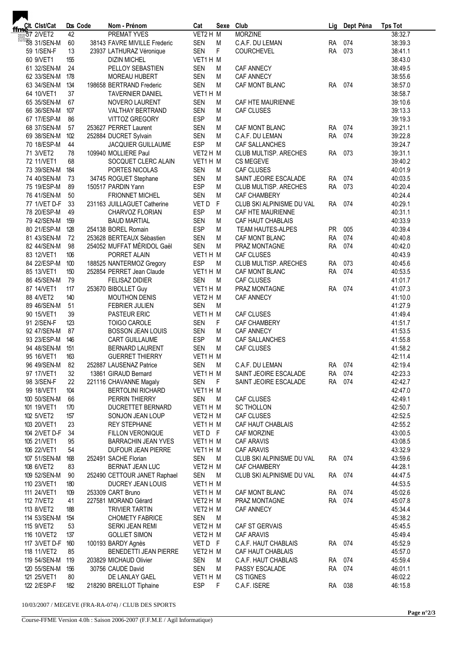| ffmet. Clst/Cat   |     | Dos Code | Nom - Prénom                 | Cat        | Sexe Club      |                           | Lig       | Dept Péna | <b>Tps Tot</b> |
|-------------------|-----|----------|------------------------------|------------|----------------|---------------------------|-----------|-----------|----------------|
|                   | 42  |          | <b>PREMAT YVES</b>           | VET2 H M   |                | <b>MORZINE</b>            |           |           | 38:32.7        |
| 58 31/SEN-M       | 60  |          | 38143 FAVRE MIVILLE Frederic | <b>SEN</b> | M              | C.A.F. DU LEMAN           | <b>RA</b> | 074       | 38:39.3        |
| 59 1/SEN-F        | 13  |          | 23937 LATHURAZ Véronique     | <b>SEN</b> | $\mathsf F$    | <b>COURCHEVEL</b>         | <b>RA</b> | 073       | 38:41.1        |
| 60 9/VET1         | 155 |          | <b>DIZIN MICHEL</b>          | VET1 H M   |                |                           |           |           | 38:43.0        |
| 61 32/SEN-M       | 24  |          | PELLOY SEBASTIEN             | <b>SEN</b> | М              | CAF ANNECY                |           |           | 38:49.5        |
| 62 33/SEN-M       | 178 |          | MOREAU HUBERT                | <b>SEN</b> | M              | <b>CAF ANNECY</b>         |           |           | 38:55.6        |
| 63 34/SEN-M       | 134 |          | 198658 BERTRAND Frederic     | <b>SEN</b> | M              | CAF MONT BLANC            | <b>RA</b> | 074       | 38:57.0        |
| 64 10/VET1        | 37  |          | <b>TAVERNIER DANIEL</b>      | VET1 H M   |                |                           |           |           | 38:58.7        |
| 65 35/SEN-M       | 67  |          | NOVERO LAURENT               | <b>SEN</b> | М              | CAF HTE MAURIENNE         |           |           | 39:10.6        |
| 66 36/SEN-M       | 107 |          | VALTHAY BERTRAND             | <b>SEN</b> | М              | CAF CLUSES                |           |           | 39:13.3        |
| 67 17/ESP-M       | 86  |          | <b>VITTOZ GREGORY</b>        | <b>ESP</b> | М              |                           |           |           | 39:19.3        |
| 68 37/SEN-M       | 57  |          | 253627 PERRET Laurent        | SEN        | М              | CAF MONT BLANC            | <b>RA</b> | 074       | 39:21.1        |
| 69 38/SEN-M       | 102 |          | 252884 DUCRET Sylvain        | <b>SEN</b> | M              | C.A.F. DU LEMAN           | <b>RA</b> | 074       | 39:22.8        |
| 70 18/ESP-M       | 44  |          | JACQUIER GUILLAUME           | <b>ESP</b> | M              | <b>CAF SALLANCHES</b>     |           |           | 39:24.7        |
| 71 3/VET2         | 78  |          | 109940 MOLLIERE Paul         | VET2 H M   |                | CLUB MULTISP. ARECHES     | <b>RA</b> | 073       | 39:31.1        |
| 72 11/VET1        | 68  |          | SOCQUET CLERC ALAIN          | VET1 H M   |                | CS MEGEVE                 |           |           | 39:40.2        |
| 73 39/SEN-M       | 184 |          | PORTES NICOLAS               | <b>SEN</b> | М              | CAF CLUSES                |           |           | 40:01.9        |
| 74 40/SEN-M       | 73  |          | 34745 ROGUET Stephane        | <b>SEN</b> | M              | SAINT JEOIRE ESCALADE     | <b>RA</b> | 074       | 40:03.5        |
| 75 19/ESP-M       | 89  |          | 150517 PARDIN Yann           | <b>ESP</b> | M              | CLUB MULTISP. ARECHES     | <b>RA</b> | 073       | 40:20.4        |
| 76 41/SEN-M       | 50  |          | <b>FRIONNET MICHEL</b>       | SEN        | M              | <b>CAF CHAMBERY</b>       |           |           | 40:24.4        |
| 77 1/VET D-F      | 33  |          | 231163 JUILLAGUET Catherine  | VET DF     |                | CLUB SKI ALPINISME DU VAL | RA        | 074       | 40:29.1        |
| 78 20/ESP-M       | 49  |          | CHARVOZ FLORIAN              | <b>ESP</b> | М              | CAF HTE MAURIENNE         |           |           | 40:31.1        |
| 79 42/SEN-M       | 159 |          | <b>BAUD MARTIAL</b>          | <b>SEN</b> | М              | CAF HAUT CHABLAIS         |           |           | 40:33.9        |
| 80 21/ESP-M       | 128 |          | 254138 BOREL Romain          | <b>ESP</b> | M              | <b>TEAM HAUTES-ALPES</b>  | <b>PR</b> | 005       | 40:39.4        |
| 81 43/SEN-M       | 72  |          | 253628 BERTEAUX Sébastien    | <b>SEN</b> | M              | CAF MONT BLANC            | <b>RA</b> | 074       | 40:40.8        |
| 82 44/SEN-M       | 98  |          | 254052 MUFFAT MÉRIDOL Gaël   | <b>SEN</b> | M              | PRAZ MONTAGNE             | RA        | 074       | 40:42.0        |
| 83 12/VET1        | 106 |          | PORRET ALAIN                 | VET1 H M   |                | <b>CAF CLUSES</b>         |           |           | 40:43.9        |
| 84 22/ESP-M       | 100 |          | 188525 NANTERMOZ Gregory     | <b>ESP</b> | M              | CLUB MULTISP. ARECHES     | <b>RA</b> | 073       | 40:45.6        |
| 85 13/VET1        | 150 |          | 252854 PERRET Jean Claude    | VET1 H M   |                | CAF MONT BLANC            | <b>RA</b> | 074       | 40:53.5        |
| 86 45/SEN-M       | 79  |          | <b>FELISAZ DIDIER</b>        | <b>SEN</b> | M              | <b>CAF CLUSES</b>         |           |           | 41:01.7        |
| 87 14/VET1        | 117 |          | 253670 BIBOLLET Guy          | VET1 H M   |                | PRAZ MONTAGNE             | <b>RA</b> | 074       | 41:07.3        |
| 88 4/VET2         | 140 |          | <b>MOUTHON DENIS</b>         | VET2 H M   |                | <b>CAF ANNECY</b>         |           |           | 41:10.0        |
| 89 46/SEN-M       | 51  |          | FEBRIER JULIEN               | <b>SEN</b> | M              |                           |           |           | 41:27.9        |
| 90 15/VET1        | 39  |          | PASTEUR ERIC                 | VET1 H M   |                | CAF CLUSES                |           |           | 41:49.4        |
| 91 2/SEN-F        | 123 |          | <b>TOIGO CAROLE</b>          | <b>SEN</b> | F.             | CAF CHAMBERY              |           |           | 41:51.7        |
| 92 47/SEN-M       | 87  |          | <b>BOSSON JEAN LOUIS</b>     | SEN        | М              | <b>CAF ANNECY</b>         |           |           | 41:53.5        |
| 93 23/ESP-M       | 146 |          | <b>CART GUILLAUME</b>        | <b>ESP</b> | M              | CAF SALLANCHES            |           |           | 41:55.8        |
| 94 48/SEN-M       | 151 |          | <b>BERNARD LAURENT</b>       | SEN        | M              | CAF CLUSES                |           |           | 41:58.2        |
| 95 16/VET1        | 163 |          | <b>GUERRET THIERRY</b>       | VET1H M    |                |                           |           |           | 42:11.4        |
| 96 49/SEN-M 82    |     |          | 252887 LAUSENAZ Patrice      | SEN M      |                | C.A.F. DU LEMAN           | RA 074    |           | 42:19.4        |
| 97 17/VET1        | 32  |          | 13861 GIRAUD Bernard         | VET1H M    |                | SAINT JEOIRE ESCALADE     |           | RA 074    | 42:23.3        |
| 98 3/SEN-F        | 22  |          | 221116 CHAVANNE Magaly       | SEN F      |                | SAINT JEOIRE ESCALADE     |           | RA 074    | 42:42.7        |
| 99 18/VET1        | 104 |          | <b>BERTOLINI RICHARD</b>     | VET1 H M   |                |                           |           |           | 42:47.0        |
| 100 50/SEN-M      | 66  |          | PERRIN THIERRY               | SEN        | M              | CAF CLUSES                |           |           | 42:49.1        |
| 101 19/VET1       | 170 |          | DUCRETTET BERNARD            | VET1 H M   |                | <b>SC THOLLON</b>         |           |           | 42:50.7        |
| 102 5/VET2        | 157 |          | SONJON JEAN LOUP             | VET2 H M   |                | CAF CLUSES                |           |           | 42:52.5        |
| 103 20/VET1       | 23  |          | <b>REY STEPHANE</b>          | VET1 H M   |                | CAF HAUT CHABLAIS         |           |           | 42:55.2        |
| 104 2/VET D-F     | 34  |          | FILLON VERONIQUE             | VET DF     |                | CAF MORZINE               |           |           | 43:00.5        |
| 105 21/VET1       | 95  |          | <b>BARRACHIN JEAN YVES</b>   | VET1 H M   |                | CAF ARAVIS                |           |           | 43:08.5        |
| 106 22/VET1       | 54  |          | DUFOUR JEAN PIERRE           | VET1 H M   |                | CAF ARAVIS                |           |           | 43:32.9        |
| 107 51/SEN-M 168  |     |          | 252491 SACHE Florian         | SEN        | M              | CLUB SKI ALPINISME DU VAL |           | RA 074    | 43:59.6        |
| 108 6/VET2        | 83  |          | BERNAT JEAN LUC              | VET2 H M   |                | CAF CHAMBERY              |           |           | 44:28.1        |
| 109 52/SEN-M      | 90  |          | 252490 CETTOUR JANET Raphael | SEN        | M              | CLUB SKI ALPINISME DU VAL |           | RA 074    | 44:47.5        |
| 110 23/VET1       | 180 |          | DUCREY JEAN LOUIS            | VET1 H M   |                |                           |           |           | 44:53.5        |
| 111 24/VET1       | 109 |          | 253309 CART Bruno            | VET1H M    |                | CAF MONT BLANC            |           | RA 074    | 45:02.6        |
| 112 7/VET2        | 41  |          | 227581 MORAND Gérard         | VET2 H M   |                | PRAZ MONTAGNE             |           | RA 074    | 45:07.8        |
| 113 8/VET2        | 188 |          | <b>TRIVIER TARTIN</b>        | VET2 H M   |                | CAF ANNECY                |           |           | 45:34.4        |
| 114 53/SEN-M      | 154 |          | <b>CHOMETY FABRICE</b>       | SEN        | M <sub>M</sub> |                           |           |           | 45:38.2        |
| 115 9/VET2        | 53  |          | SERKI JEAN REMI              | VET2 H M   |                | CAF ST GERVAIS            |           |           | 45:45.5        |
| 116 10/VET2       | 137 |          | <b>GOLLIET SIMON</b>         | VET2 H M   |                | <b>CAF ARAVIS</b>         |           |           | 45:49.4        |
| 117 3/VET D-F 160 |     |          | 100193 BARDY Agnès           | VET DF     |                | C.A.F. HAUT CHABLAIS      |           | RA 074    | 45:52.9        |
| 118 11/VET2       | 85  |          | BENEDETTI JEAN PIERRE        | VET2 H M   |                | CAF HAUT CHABLAIS         |           |           | 45:57.0        |
| 119 54/SEN-M      | 119 |          | 203829 MICHAUD Olivier       | SEN        | M              | C.A.F. HAUT CHABLAIS      |           | RA 074    | 45:59.4        |
|                   | 156 |          | 30756 CAUDE David            | SEN        |                | PASSY ESCALADE            | RA 074    |           | 46:01.1        |
| 120 55/SEN-M      | 80  |          |                              | VET1H M    | M              |                           |           |           |                |
| 121 25/VET1       |     |          | DE LANLAY GAEL               | ESP        |                | CS TIGNES                 |           | RA 038    | 46:02.2        |
| 122 2/ESP-F       | 182 |          | 218290 BREILLOT Tiphaine     |            | F.             | C.A.F. ISERE              |           |           | 46:15.8        |

10/03/2007 / MEGEVE (FRA-RA-074) / CLUB DES SPORTS